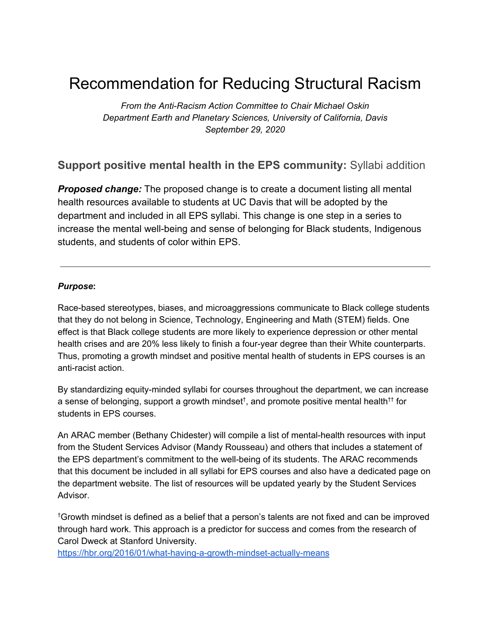# Recommendation for Reducing Structural Racism

*From the Anti-Racism Action Committee to Chair Michael Oskin Department Earth and Planetary Sciences, University of California, Davis September 29, 2020*

# **Support positive mental health in the EPS community:** Syllabi addition

**Proposed change:** The proposed change is to create a document listing all mental health resources available to students at UC Davis that will be adopted by the department and included in all EPS syllabi. This change is one step in a series to increase the mental well-being and sense of belonging for Black students, Indigenous students, and students of color within EPS.

#### *Purpose***:**

Race-based stereotypes, biases, and microaggressions communicate to Black college students that they do not belong in Science, Technology, Engineering and Math (STEM) fields. One effect is that Black college students are more likely to experience depression or other mental health crises and are 20% less likely to finish a four-year degree than their White counterparts. Thus, promoting a growth mindset and positive mental health of students in EPS courses is an anti-racist action.

By standardizing equity-minded syllabi for courses throughout the department, we can increase a sense of belonging, support a growth mindset<sup>†</sup>, and promote positive mental health<sup>††</sup> for students in EPS courses.

An ARAC member (Bethany Chidester) will compile a list of mental-health resources with input from the Student Services Advisor (Mandy Rousseau) and others that includes a statement of the EPS department's commitment to the well-being of its students. The ARAC recommends that this document be included in all syllabi for EPS courses and also have a dedicated page on the department website. The list of resources will be updated yearly by the Student Services Advisor.

†Growth mindset is defined as a belief that a person's talents are not fixed and can be improved through hard work. This approach is a predictor for success and comes from the research of Carol Dweck at Stanford University.

<https://hbr.org/2016/01/what-having-a-growth-mindset-actually-means>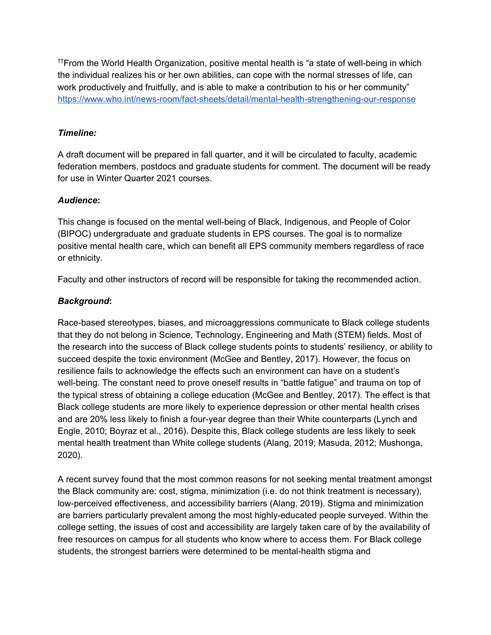††From the World Health Organization, positive mental health is "a state of well-being in which the individual realizes his or her own abilities, can cope with the normal stresses of life, can work productively and fruitfully, and is able to make a contribution to his or her community" <https://www.who.int/news-room/fact-sheets/detail/mental-health-strengthening-our-response>

#### *Timeline:*

A draft document will be prepared in fall quarter, and it will be circulated to faculty, academic federation members, postdocs and graduate students for comment. The document will be ready for use in Winter Quarter 2021 courses.

## *Audience***:**

This change is focused on the mental well-being of Black, Indigenous, and People of Color (BIPOC) undergraduate and graduate students in EPS courses. The goal is to normalize positive mental health care, which can benefit all EPS community members regardless of race or ethnicity.

Faculty and other instructors of record will be responsible for taking the recommended action.

## *Background***:**

Race-based stereotypes, biases, and microaggressions communicate to Black college students that they do not belong in Science, Technology, Engineering and Math (STEM) fields. Most of the research into the success of Black college students points to students' resiliency, or ability to succeed despite the toxic environment (McGee and Bentley, 2017). However, the focus on resilience fails to acknowledge the effects such an environment can have on a student's well-being. The constant need to prove oneself results in "battle fatigue" and trauma on top of the typical stress of obtaining a college education (McGee and Bentley, 2017). The effect is that Black college students are more likely to experience depression or other mental health crises and are 20% less likely to finish a four-year degree than their White counterparts (Lynch and Engle, 2010; Boyraz et al., 2016). Despite this, Black college students are less likely to seek mental health treatment than White college students (Alang, 2019; Masuda, 2012; Mushonga, 2020).

A recent survey found that the most common reasons for not seeking mental treatment amongst the Black community are: cost, stigma, minimization (i.e. do not think treatment is necessary), low-perceived effectiveness, and accessibility barriers (Alang, 2019). Stigma and minimization are barriers particularly prevalent among the most highly-educated people surveyed. Within the college setting, the issues of cost and accessibility are largely taken care of by the availability of free resources on campus for all students who know where to access them. For Black college students, the strongest barriers were determined to be mental-health stigma and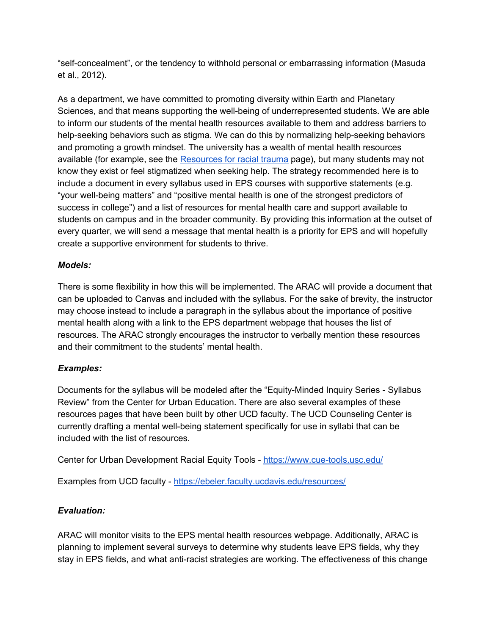"self-concealment", or the tendency to withhold personal or embarrassing information (Masuda et al., 2012).

As a department, we have committed to promoting diversity within Earth and Planetary Sciences, and that means supporting the well-being of underrepresented students. We are able to inform our students of the mental health resources available to them and address barriers to help-seeking behaviors such as stigma. We can do this by normalizing help-seeking behaviors and promoting a growth mindset. The university has a wealth of mental health resources available (for example, see the [Resources](https://diversity.ucdavis.edu/resources-racial-trauma) for racial trauma page), but many students may not know they exist or feel stigmatized when seeking help. The strategy recommended here is to include a document in every syllabus used in EPS courses with supportive statements (e.g. "your well-being matters" and "positive mental health is one of the strongest predictors of success in college") and a list of resources for mental health care and support available to students on campus and in the broader community. By providing this information at the outset of every quarter, we will send a message that mental health is a priority for EPS and will hopefully create a supportive environment for students to thrive.

#### *Models:*

There is some flexibility in how this will be implemented. The ARAC will provide a document that can be uploaded to Canvas and included with the syllabus. For the sake of brevity, the instructor may choose instead to include a paragraph in the syllabus about the importance of positive mental health along with a link to the EPS department webpage that houses the list of resources. The ARAC strongly encourages the instructor to verbally mention these resources and their commitment to the students' mental health.

#### *Examples:*

Documents for the syllabus will be modeled after the "Equity-Minded Inquiry Series - Syllabus Review" from the Center for Urban Education. There are also several examples of these resources pages that have been built by other UCD faculty. The UCD Counseling Center is currently drafting a mental well-being statement specifically for use in syllabi that can be included with the list of resources.

Center for Urban Development Racial Equity Tools - <https://www.cue-tools.usc.edu/>

Examples from UCD faculty - <https://ebeler.faculty.ucdavis.edu/resources/>

# *Evaluation:*

ARAC will monitor visits to the EPS mental health resources webpage. Additionally, ARAC is planning to implement several surveys to determine why students leave EPS fields, why they stay in EPS fields, and what anti-racist strategies are working. The effectiveness of this change